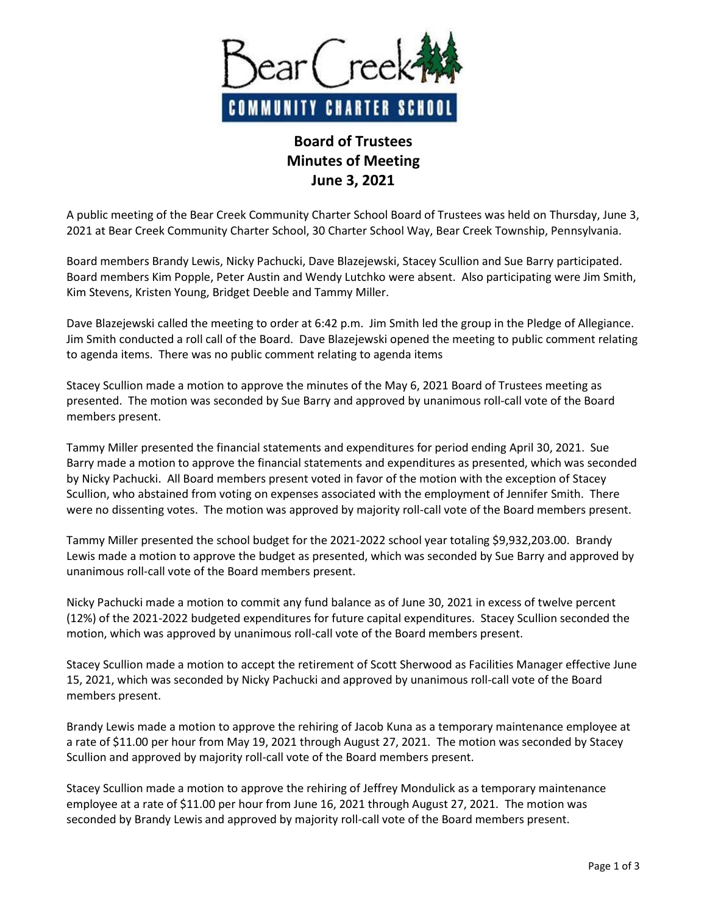

## **Board of Trustees Minutes of Meeting June 3, 2021**

A public meeting of the Bear Creek Community Charter School Board of Trustees was held on Thursday, June 3, 2021 at Bear Creek Community Charter School, 30 Charter School Way, Bear Creek Township, Pennsylvania.

Board members Brandy Lewis, Nicky Pachucki, Dave Blazejewski, Stacey Scullion and Sue Barry participated. Board members Kim Popple, Peter Austin and Wendy Lutchko were absent. Also participating were Jim Smith, Kim Stevens, Kristen Young, Bridget Deeble and Tammy Miller.

Dave Blazejewski called the meeting to order at 6:42 p.m. Jim Smith led the group in the Pledge of Allegiance. Jim Smith conducted a roll call of the Board. Dave Blazejewski opened the meeting to public comment relating to agenda items. There was no public comment relating to agenda items

Stacey Scullion made a motion to approve the minutes of the May 6, 2021 Board of Trustees meeting as presented. The motion was seconded by Sue Barry and approved by unanimous roll-call vote of the Board members present.

Tammy Miller presented the financial statements and expenditures for period ending April 30, 2021. Sue Barry made a motion to approve the financial statements and expenditures as presented, which was seconded by Nicky Pachucki. All Board members present voted in favor of the motion with the exception of Stacey Scullion, who abstained from voting on expenses associated with the employment of Jennifer Smith. There were no dissenting votes. The motion was approved by majority roll-call vote of the Board members present.

Tammy Miller presented the school budget for the 2021-2022 school year totaling \$9,932,203.00. Brandy Lewis made a motion to approve the budget as presented, which was seconded by Sue Barry and approved by unanimous roll-call vote of the Board members present.

Nicky Pachucki made a motion to commit any fund balance as of June 30, 2021 in excess of twelve percent (12%) of the 2021-2022 budgeted expenditures for future capital expenditures. Stacey Scullion seconded the motion, which was approved by unanimous roll-call vote of the Board members present.

Stacey Scullion made a motion to accept the retirement of Scott Sherwood as Facilities Manager effective June 15, 2021, which was seconded by Nicky Pachucki and approved by unanimous roll-call vote of the Board members present.

Brandy Lewis made a motion to approve the rehiring of Jacob Kuna as a temporary maintenance employee at a rate of \$11.00 per hour from May 19, 2021 through August 27, 2021. The motion was seconded by Stacey Scullion and approved by majority roll-call vote of the Board members present.

Stacey Scullion made a motion to approve the rehiring of Jeffrey Mondulick as a temporary maintenance employee at a rate of \$11.00 per hour from June 16, 2021 through August 27, 2021. The motion was seconded by Brandy Lewis and approved by majority roll-call vote of the Board members present.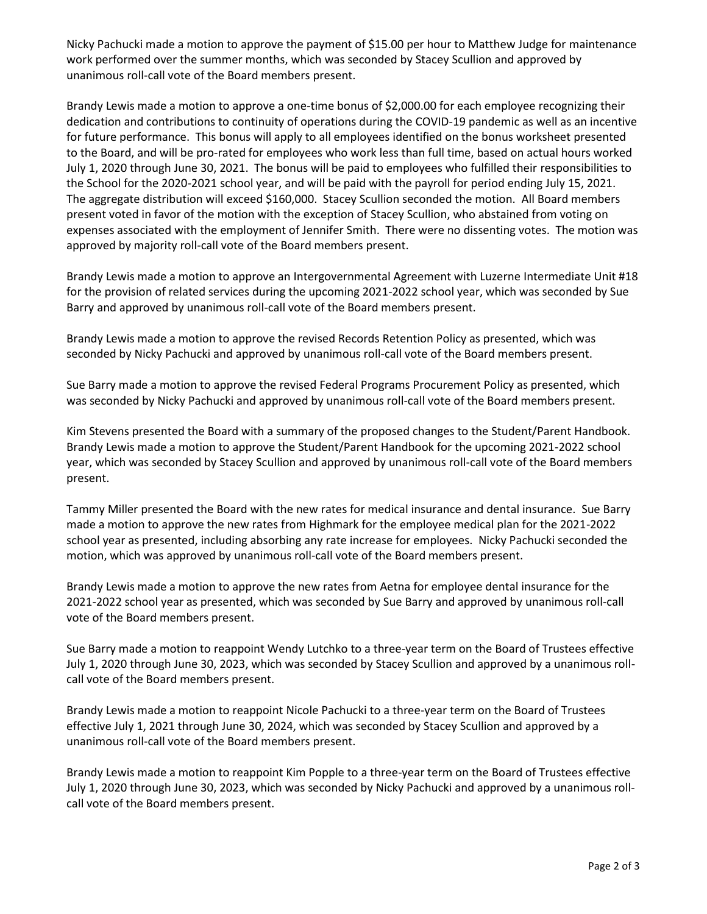Nicky Pachucki made a motion to approve the payment of \$15.00 per hour to Matthew Judge for maintenance work performed over the summer months, which was seconded by Stacey Scullion and approved by unanimous roll-call vote of the Board members present.

Brandy Lewis made a motion to approve a one-time bonus of \$2,000.00 for each employee recognizing their dedication and contributions to continuity of operations during the COVID-19 pandemic as well as an incentive for future performance. This bonus will apply to all employees identified on the bonus worksheet presented to the Board, and will be pro-rated for employees who work less than full time, based on actual hours worked July 1, 2020 through June 30, 2021. The bonus will be paid to employees who fulfilled their responsibilities to the School for the 2020-2021 school year, and will be paid with the payroll for period ending July 15, 2021. The aggregate distribution will exceed \$160,000. Stacey Scullion seconded the motion. All Board members present voted in favor of the motion with the exception of Stacey Scullion, who abstained from voting on expenses associated with the employment of Jennifer Smith. There were no dissenting votes. The motion was approved by majority roll-call vote of the Board members present.

Brandy Lewis made a motion to approve an Intergovernmental Agreement with Luzerne Intermediate Unit #18 for the provision of related services during the upcoming 2021-2022 school year, which was seconded by Sue Barry and approved by unanimous roll-call vote of the Board members present.

Brandy Lewis made a motion to approve the revised Records Retention Policy as presented, which was seconded by Nicky Pachucki and approved by unanimous roll-call vote of the Board members present.

Sue Barry made a motion to approve the revised Federal Programs Procurement Policy as presented, which was seconded by Nicky Pachucki and approved by unanimous roll-call vote of the Board members present.

Kim Stevens presented the Board with a summary of the proposed changes to the Student/Parent Handbook. Brandy Lewis made a motion to approve the Student/Parent Handbook for the upcoming 2021-2022 school year, which was seconded by Stacey Scullion and approved by unanimous roll-call vote of the Board members present.

Tammy Miller presented the Board with the new rates for medical insurance and dental insurance. Sue Barry made a motion to approve the new rates from Highmark for the employee medical plan for the 2021-2022 school year as presented, including absorbing any rate increase for employees. Nicky Pachucki seconded the motion, which was approved by unanimous roll-call vote of the Board members present.

Brandy Lewis made a motion to approve the new rates from Aetna for employee dental insurance for the 2021-2022 school year as presented, which was seconded by Sue Barry and approved by unanimous roll-call vote of the Board members present.

Sue Barry made a motion to reappoint Wendy Lutchko to a three-year term on the Board of Trustees effective July 1, 2020 through June 30, 2023, which was seconded by Stacey Scullion and approved by a unanimous rollcall vote of the Board members present.

Brandy Lewis made a motion to reappoint Nicole Pachucki to a three-year term on the Board of Trustees effective July 1, 2021 through June 30, 2024, which was seconded by Stacey Scullion and approved by a unanimous roll-call vote of the Board members present.

Brandy Lewis made a motion to reappoint Kim Popple to a three-year term on the Board of Trustees effective July 1, 2020 through June 30, 2023, which was seconded by Nicky Pachucki and approved by a unanimous rollcall vote of the Board members present.